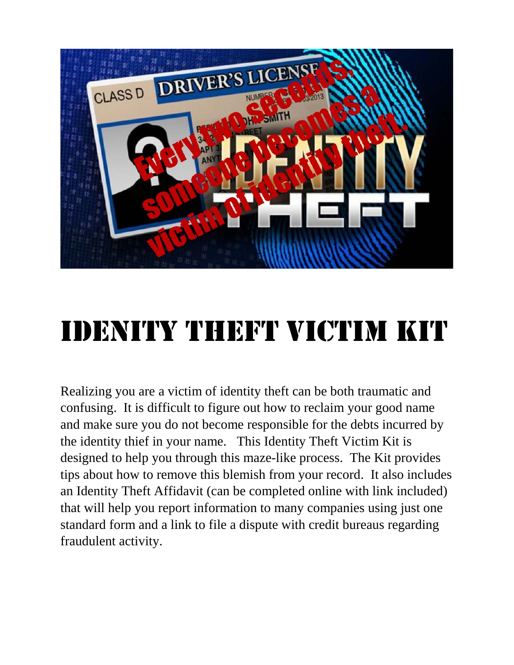

# IDENITY THEFT VICTIM KIT

Realizing you are a victim of identity theft can be both traumatic and confusing. It is difficult to figure out how to reclaim your good name and make sure you do not become responsible for the debts incurred by the identity thief in your name. This Identity Theft Victim Kit is designed to help you through this maze-like process. The Kit provides tips about how to remove this blemish from your record. It also includes an Identity Theft Affidavit (can be completed online with link included) that will help you report information to many companies using just one standard form and a link to file a dispute with credit bureaus regarding fraudulent activity.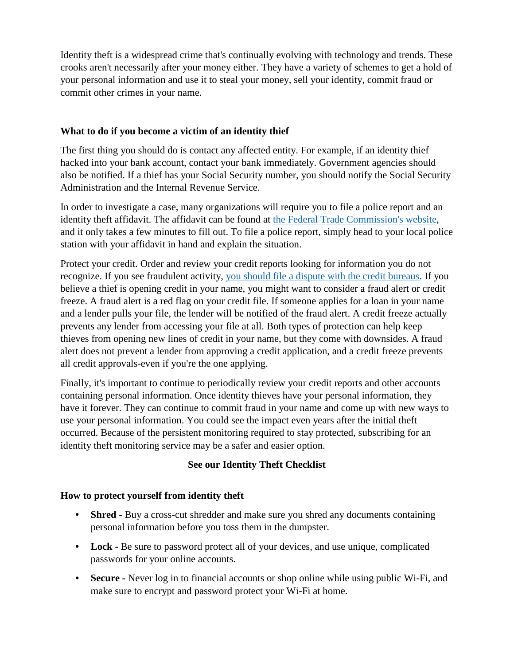Identity theft is a widespread crime that's continually evolving with technology and trends. These crooks aren't necessarily after your money either. They have a variety of schemes to get a hold of your personal information and use it to steal your money, sell your identity, commit fraud or commit other crimes in your name.

## **What to do if you become a victim of an identity thief**

The first thing you should do is contact any affected entity. For example, if an identity thief hacked into your bank account, contact your bank immediately. Government agencies should also be notified. If a thief has your Social Security number, you should notify the Social Security Administration and the Internal Revenue Service.

In order to investigate a case, many organizations will require you to file a police report and an identity theft affidavit. The affidavit can be found at [the Federal Trade Commission's website,](https://www.identitytheft.gov/) and it only takes a few minutes to fill out. To file a police report, simply head to your local police station with your affidavit in hand and explain the situation.

Protect your credit. Order and review your credit reports looking for information you do not recognize. If you see fraudulent activity, [you should file a dispute with the credit bureaus.](https://www.myfico.com/credit-education/faq/credit-reports/correcting-credit-report-errors) If you believe a thief is opening credit in your name, you might want to consider a fraud alert or credit freeze. A fraud alert is a red flag on your credit file. If someone applies for a loan in your name and a lender pulls your file, the lender will be notified of the fraud alert. A credit freeze actually prevents any lender from accessing your file at all. Both types of protection can help keep thieves from opening new lines of credit in your name, but they come with downsides. A fraud alert does not prevent a lender from approving a credit application, and a credit freeze prevents all credit approvals-even if you're the one applying.

Finally, it's important to continue to periodically review your credit reports and other accounts containing personal information. Once identity thieves have your personal information, they have it forever. They can continue to commit fraud in your name and come up with new ways to use your personal information. You could see the impact even years after the initial theft occurred. Because of the persistent monitoring required to stay protected, subscribing for an identity theft monitoring service may be a safer and easier option.

## **See our Identity Theft Checklist**

#### **How to protect yourself from identity theft**

- **Shred -** Buy a cross-cut shredder and make sure you shred any documents containing personal information before you toss them in the dumpster.
- Lock Be sure to password protect all of your devices, and use unique, complicated passwords for your online accounts.
- **Secure -** Never log in to financial accounts or shop online while using public Wi-Fi, and make sure to encrypt and password protect your Wi-Fi at home.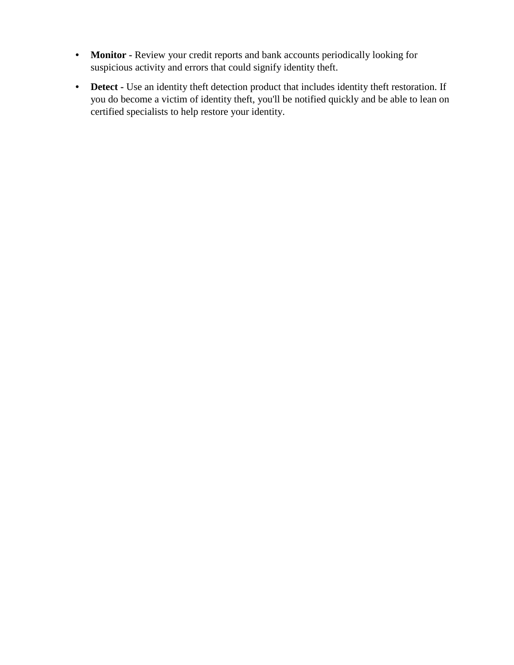- **Monitor -** Review your credit reports and bank accounts periodically looking for suspicious activity and errors that could signify identity theft.
- **Detect -** Use an identity theft detection product that includes identity theft restoration. If you do become a victim of identity theft, you'll be notified quickly and be able to lean on certified specialists to help restore your identity.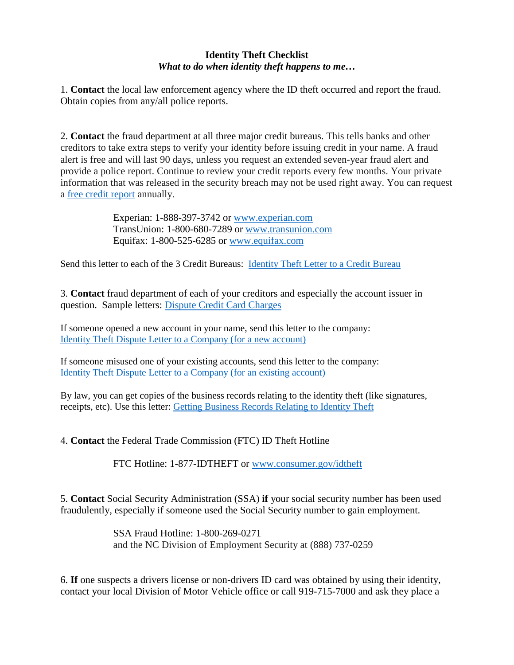## **Identity Theft Checklist** *What to do when identity theft happens to me…*

1. **Contact** the local law enforcement agency where the ID theft occurred and report the fraud. Obtain copies from any/all police reports.

2. **Contact** the fraud department at all three major credit bureaus. This tells banks and other creditors to take extra steps to verify your identity before issuing credit in your name. A fraud alert is free and will last 90 days, unless you request an extended seven-year fraud alert and provide a police report. Continue to review your credit reports every few months. Your private information that was released in the security breach may not be used right away. You can request a [free credit report](https://ncdoj.gov/protecting-consumers/protecting-your-identity/free-annual-credit-report/) annually.

> Experian: 1-888-397-3742 or [www.experian.com](http://www.experian.com/) TransUnion: 1-800-680-7289 or [www.transunion.com](http://www.transunion.com/) Equifax: 1-800-525-6285 or [www.equifax.com](http://www.equifax.com/)

Send this letter to each of the 3 Credit Bureaus: [Identity Theft Letter to a Credit Bureau](https://www.identitytheft.gov/Sample-Letters/identity-theft-credit-bureau)

3. **Contact** fraud department of each of your creditors and especially the account issuer in question. Sample letters: [Dispute Credit Card Charges](https://www.identitytheft.gov/Sample-Letters/dispute-credit-card-charges) 

If someone opened a new account in your name, send this letter to the company: [Identity Theft Dispute Letter to a Company \(for a new account\)](https://www.identitytheft.gov/Sample-Letters/identity-theft-dispute-new-account)

If someone misused one of your existing accounts, send this letter to the company: [Identity Theft Dispute Letter to a Company \(for an existing account\)](https://www.identitytheft.gov/Sample-Letters/identity-theft-dispute-charges-existing-account)

By law, you can get copies of the business records relating to the identity theft (like signatures, receipts, etc). Use this letter: [Getting Business Records Relating to Identity Theft](https://www.identitytheft.gov/Sample-Letters/request-records-related-identity-theft)

4. **Contact** the Federal Trade Commission (FTC) ID Theft Hotline

FTC Hotline: 1-877-IDTHEFT or [www.consumer.gov/idtheft](http://www.consumer.gov/idtheft)

5. **Contact** Social Security Administration (SSA) **if** your social security number has been used fraudulently, especially if someone used the Social Security number to gain employment.

> SSA Fraud Hotline: 1-800-269-0271 and the NC Division of Employment Security at (888) 737-0259

6. **If** one suspects a drivers license or non-drivers ID card was obtained by using their identity, contact your local Division of Motor Vehicle office or call 919-715-7000 and ask they place a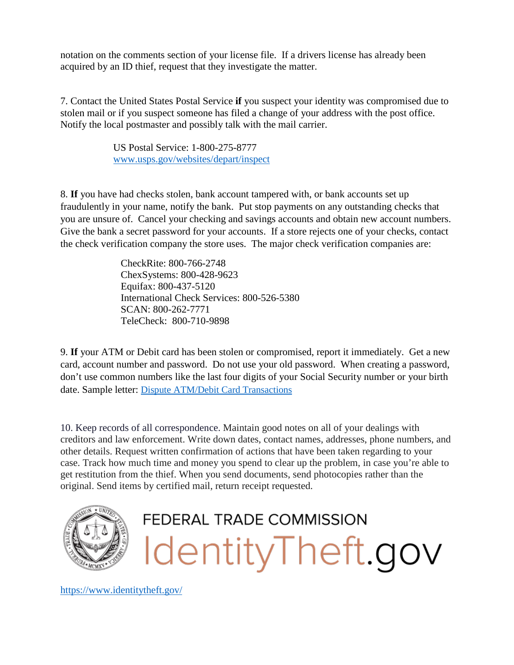notation on the comments section of your license file. If a drivers license has already been acquired by an ID thief, request that they investigate the matter.

7. Contact the United States Postal Service **if** you suspect your identity was compromised due to stolen mail or if you suspect someone has filed a change of your address with the post office. Notify the local postmaster and possibly talk with the mail carrier.

> US Postal Service: 1-800-275-8777 [www.usps.gov/websites/depart/inspect](http://www.usps.gov/websites/depart/inspect)

8. **If** you have had checks stolen, bank account tampered with, or bank accounts set up fraudulently in your name, notify the bank. Put stop payments on any outstanding checks that you are unsure of. Cancel your checking and savings accounts and obtain new account numbers. Give the bank a secret password for your accounts. If a store rejects one of your checks, contact the check verification company the store uses. The major check verification companies are:

> CheckRite: 800-766-2748 ChexSystems: 800-428-9623 Equifax: 800-437-5120 International Check Services: 800-526-5380 SCAN: 800-262-7771 TeleCheck: 800-710-9898

9. **If** your ATM or Debit card has been stolen or compromised, report it immediately. Get a new card, account number and password. Do not use your old password. When creating a password, don't use common numbers like the last four digits of your Social Security number or your birth date. Sample letter: [Dispute ATM/Debit Card Transactions](https://www.identitytheft.gov/Sample-Letters/dispute-debit-card-transactions)

10. Keep records of all correspondence. Maintain good notes on all of your dealings with creditors and law enforcement. Write down dates, contact names, addresses, phone numbers, and other details. Request written confirmation of actions that have been taken regarding to your case. Track how much time and money you spend to clear up the problem, in case you're able to get restitution from the thief. When you send documents, send photocopies rather than the original. Send items by certified mail, return receipt requested.





<https://www.identitytheft.gov/>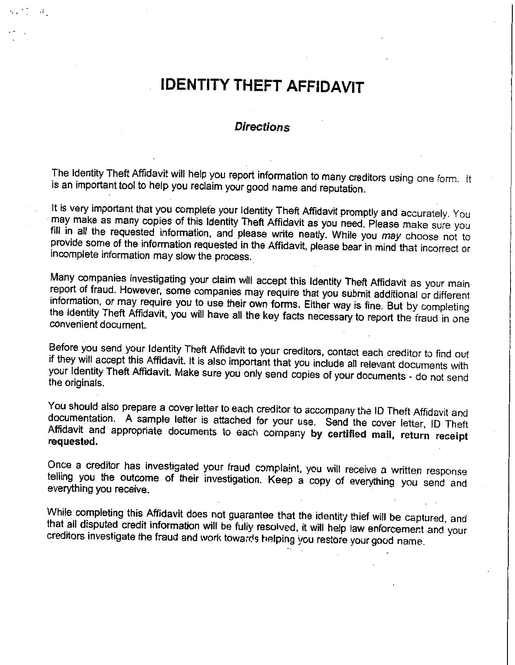# **IDENTITY THEFT AFFIDAVIT**

#### **Directions**

The Identity Theft Affidavit will help you report information to many creditors using one form. It is an important tool to help you reclaim your good name and reputation.

It is very important that you complete your Identity Theft Affidavit promptly and accurately. You may make as many copies of this Identity Theft Affidavit as you need. Please make sure you fill in all the requested information, and please write neatly. While you may choose not to provide some of the information requested in the Affidavit, please bear in mind that incorrect or incomplete information may slow the process.

Many companies investigating your claim will accept this Identity Theft Affidavit as your main report of fraud. However, some companies may require that you submit additional or different information, or may require you to use their own forms. Either way is fine. But by completing the Identity Theft Affidavit, you will have all the key facts necessary to report the fraud in one convenient document.

Before you send your Identity Theft Affidavit to your creditors, contact each creditor to find out if they will accept this Affidavit. It is also important that you include all relevant documents with your identity Theft Affidavit. Make sure you only send copies of your documents - do not send the originals.

You should also prepare a cover letter to each creditor to accompany the ID Theft Affidavit and documentation. A sample letter is attached for your use. Send the cover letter, ID Theft Affidavit and appropriate documents to each company by certified mail, return receipt requested.

Once a creditor has investigated your fraud complaint, you will receive a written response telling you the outcome of their investigation. Keep a copy of everything you send and everything you receive.

While completing this Affidavit does not guarantee that the identity thief will be captured, and that all disputed credit information will be fully resolved, it will help law enforcement and your creditors investigate the fraud and work towards helping you restore your good name.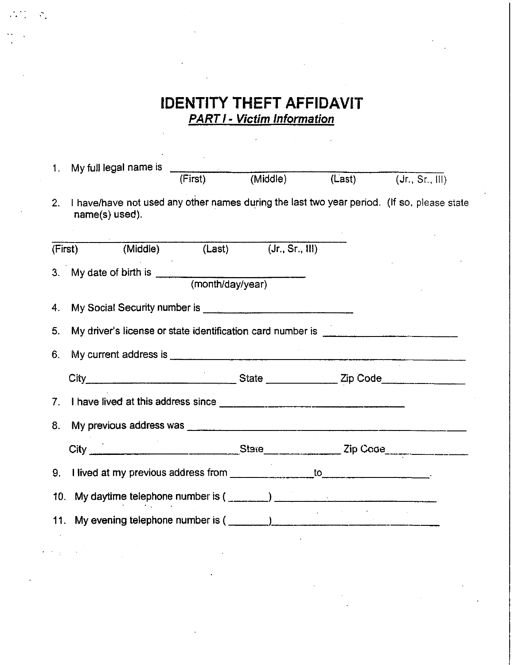# **IDENTITY THEFT AFFIDAVIT PART I - Victim Information**

 $\overline{\phantom{a}}$ 

 $\sim \rho^{-1}$ 

 $\bar{1}$ 

 $\mathcal{C}_1$ 

 $\overline{z}$  ,  $\overline{z}$ 

| $1_{\cdot}$                          | My full legal name is                                                                                        |         |                            |  |                            |  |  |
|--------------------------------------|--------------------------------------------------------------------------------------------------------------|---------|----------------------------|--|----------------------------|--|--|
|                                      |                                                                                                              | (First) | (Middle)                   |  | $(Last)$ $(Jr., Sr., III)$ |  |  |
| 2 <sup>1</sup>                       | I have/have not used any other names during the last two year period. (If so, please state<br>name(s) used). |         |                            |  |                            |  |  |
|                                      | (First) (Middle)                                                                                             |         | $(Last)$ $(Jr., Sr., III)$ |  |                            |  |  |
| 3.                                   |                                                                                                              |         |                            |  |                            |  |  |
| My date of birth is (month/day/year) |                                                                                                              |         |                            |  |                            |  |  |
| 4.                                   |                                                                                                              |         |                            |  |                            |  |  |
| 5.                                   | My driver's license or state identification card number is _____________________                             |         |                            |  |                            |  |  |
| 6.                                   |                                                                                                              |         |                            |  |                            |  |  |
|                                      |                                                                                                              |         |                            |  |                            |  |  |
|                                      |                                                                                                              |         |                            |  |                            |  |  |
| 8.                                   |                                                                                                              |         |                            |  |                            |  |  |
|                                      |                                                                                                              |         |                            |  |                            |  |  |
| 9.                                   |                                                                                                              |         |                            |  |                            |  |  |
| 10.                                  |                                                                                                              |         |                            |  |                            |  |  |
| 11.                                  |                                                                                                              |         |                            |  |                            |  |  |
|                                      |                                                                                                              |         |                            |  |                            |  |  |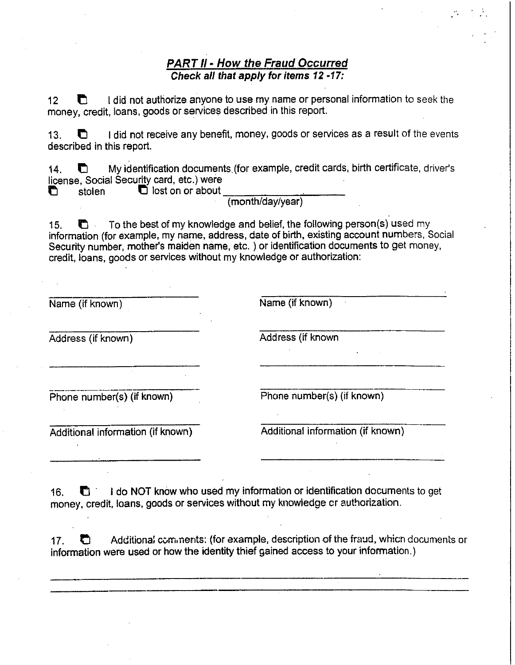### **PART II - How the Fraud Occurred** Check all that apply for items 12 -17:

I did not authorize anyone to use my name or personal information to seek the n  $12<sup>12</sup>$ money, credit, loans, goods or services described in this report.

I did not receive any benefit, money, goods or services as a result of the events  $13.$  $\blacksquare$ described in this report.

My identification documents (for example, credit cards, birth certificate, driver's  $14.$ n license, Social Security card, etc.) were

 $\Box$  lost on or about O stolen

(month/day/year)

To the best of my knowledge and belief, the following person(s) used my  $15.$  $\blacksquare$ information (for example, my name, address, date of birth, existing account numbers, Social Security number, mother's maiden name, etc. ) or identification documents to get money. credit, loans, goods or services without my knowledge or authorization:

| Name (if known)                   | Name (if known)                   |  |  |
|-----------------------------------|-----------------------------------|--|--|
| Address (if known)                | Address (if known                 |  |  |
|                                   |                                   |  |  |
| Phone number(s) (if known)        | Phone number(s) (if known)        |  |  |
| Additional information (if known) | Additional information (if known) |  |  |

I do NOT know who used my information or identification documents to get  $16.$ O money, credit, loans, goods or services without my knowledge or authorization.

Additional comments: (for example, description of the fraud, which documents or  $17.$ O information were used or how the identity thief gained access to your information.)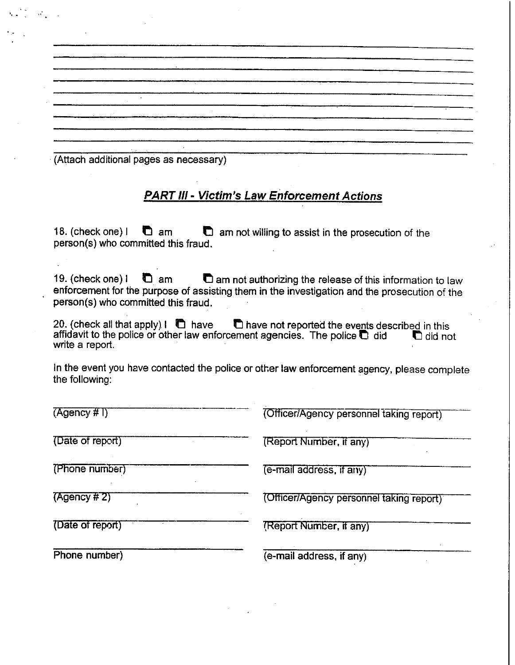(Attach additional pages as necessary)

## **PART III - Victim's Law Enforcement Actions**

18. (check one) I  $\Box$  am not willing to assist in the prosecution of the  $\mathbf{C}$  am person(s) who committed this fraud.

19. (check one) I  $\blacksquare$  am not authorizing the release of this information to law  $\bullet$  am enforcement for the purpose of assisting them in the investigation and the prosecution of the person(s) who committed this fraud.

20. (check all that apply)  $\mathbf{l}$  ave the not reported the events described in this affidavit to the police or other law enforcement agencies. The police @ did did not write a report.

In the event you have contacted the police or other law enforcement agency, please complete the following:

| (Agency #1)      | (Officer/Agency personnel taking report) |
|------------------|------------------------------------------|
| (Date of report) | (Report Number, if any)                  |
| (Phone number)   | (e-mail address, if any)                 |
| (Agency # 2)     | (Officer/Agency personnel taking report) |
| (Date of report) | (Report Number, if any)                  |
| Phone number)    | (e-mail address, if any)                 |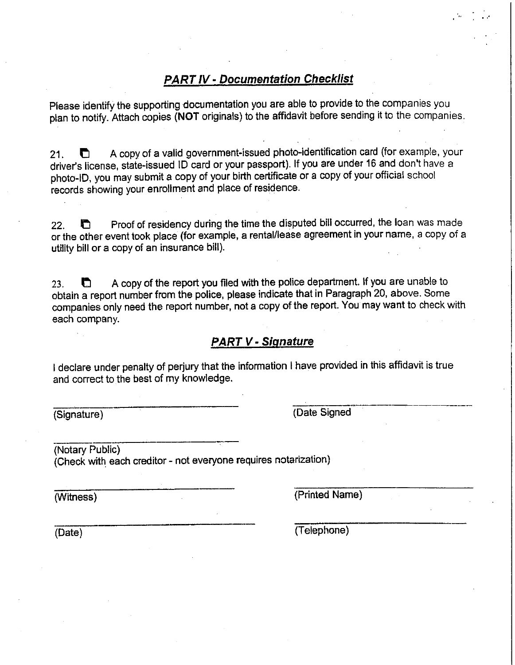## **PART IV - Documentation Checklist**

Please identify the supporting documentation you are able to provide to the companies you plan to notify. Attach copies (NOT originals) to the affidavit before sending it to the companies.

A copy of a valid government-issued photo-identification card (for example, your  $21.$ O driver's license, state-issued ID card or your passport). If you are under 16 and don't have a photo-ID, you may submit a copy of your birth certificate or a copy of your official school records showing your enrollment and place of residence.

Proof of residency during the time the disputed bill occurred, the loan was made 22. n or the other event took place (for example, a rental/lease agreement in your name, a copy of a utility bill or a copy of an insurance bill).

A copy of the report you filed with the police department. If you are unable to n 23. obtain a report number from the police, please indicate that in Paragraph 20, above. Some companies only need the report number, not a copy of the report. You may want to check with each company.

## **PART V - Signature**

I declare under penalty of perjury that the information I have provided in this affidavit is true and correct to the best of my knowledge.

(Signature)

(Date Signed

(Notary Public) (Check with each creditor - not everyone requires notarization)

(Witness)

(Printed Name)

(Date)

(Telephone)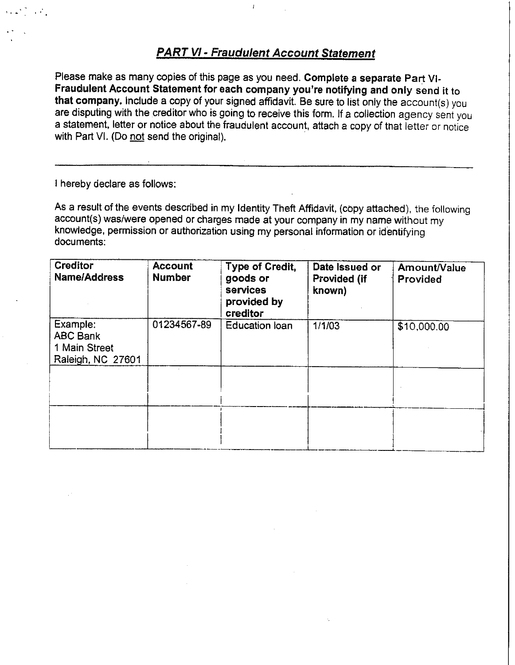## **PART VI - Fraudulent Account Statement**

Please make as many copies of this page as you need. Complete a separate Part VI-Fraudulent Account Statement for each company you're notifying and only send it to that company. Include a copy of your signed affidavit. Be sure to list only the account(s) you are disputing with the creditor who is going to receive this form. If a collection agency sent you a statement, letter or notice about the fraudulent account, attach a copy of that letter or notice with Part VI. (Do not send the original).

I hereby declare as follows:

As a result of the events described in my Identity Theft Affidavit, (copy attached), the following account(s) was/were opened or charges made at your company in my name without my knowledge, permission or authorization using my personal information or identifying documents:

| <b>Creditor</b><br>Name/Address                                   | <b>Account</b><br><b>Number</b> | Type of Credit,<br>goods or<br><b>services</b><br>provided by<br>creditor | Date Issued or<br><b>Provided (if</b><br>known) | Amount/Value<br>Provided |
|-------------------------------------------------------------------|---------------------------------|---------------------------------------------------------------------------|-------------------------------------------------|--------------------------|
| Example:<br><b>ABC Bank</b><br>1 Main Street<br>Raleigh, NC 27601 | 01234567-89                     | <b>Education loan</b>                                                     | 1/1/03                                          | \$10,000.00              |
|                                                                   |                                 |                                                                           |                                                 |                          |
|                                                                   |                                 |                                                                           |                                                 |                          |